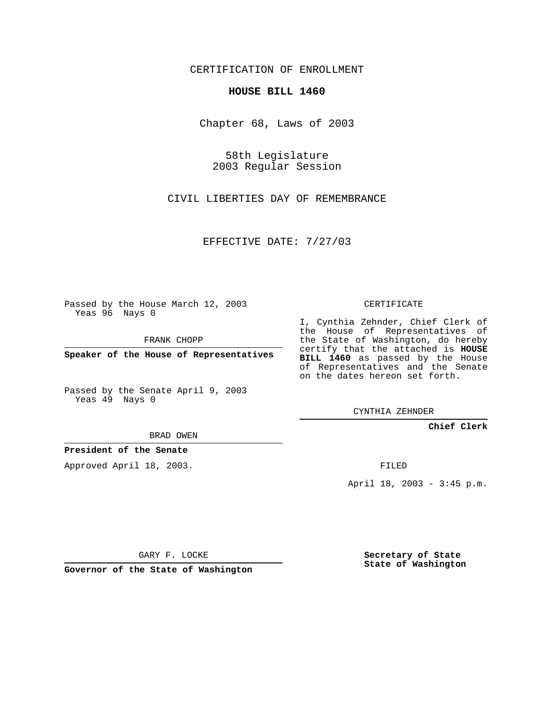CERTIFICATION OF ENROLLMENT

### **HOUSE BILL 1460**

Chapter 68, Laws of 2003

58th Legislature 2003 Regular Session

CIVIL LIBERTIES DAY OF REMEMBRANCE

EFFECTIVE DATE: 7/27/03

Passed by the House March 12, 2003 Yeas 96 Nays 0

FRANK CHOPP

**Speaker of the House of Representatives**

Passed by the Senate April 9, 2003 Yeas 49 Nays 0

CYNTHIA ZEHNDER

**Chief Clerk**

BRAD OWEN

**President of the Senate**

Approved April 18, 2003.

FILED

April 18, 2003 - 3:45 p.m.

GARY F. LOCKE

**Governor of the State of Washington**

**Secretary of State State of Washington**

# CERTIFICATE

I, Cynthia Zehnder, Chief Clerk of the House of Representatives of the State of Washington, do hereby certify that the attached is **HOUSE BILL 1460** as passed by the House of Representatives and the Senate on the dates hereon set forth.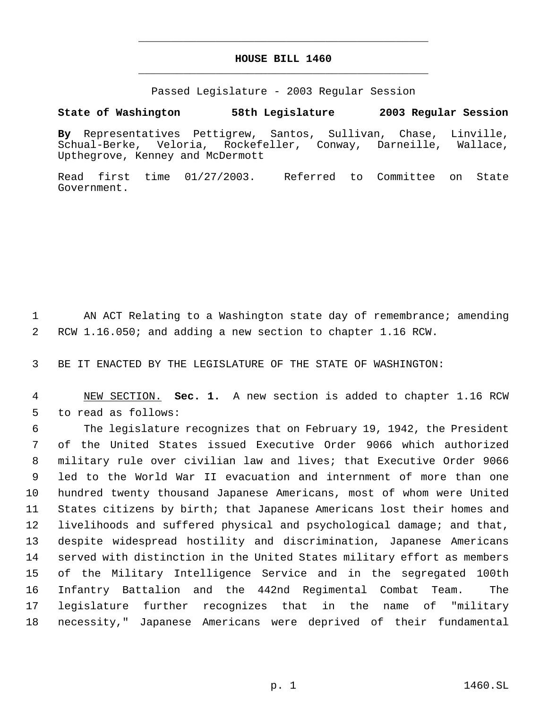## **HOUSE BILL 1460** \_\_\_\_\_\_\_\_\_\_\_\_\_\_\_\_\_\_\_\_\_\_\_\_\_\_\_\_\_\_\_\_\_\_\_\_\_\_\_\_\_\_\_\_\_

\_\_\_\_\_\_\_\_\_\_\_\_\_\_\_\_\_\_\_\_\_\_\_\_\_\_\_\_\_\_\_\_\_\_\_\_\_\_\_\_\_\_\_\_\_

Passed Legislature - 2003 Regular Session

### **State of Washington 58th Legislature 2003 Regular Session**

**By** Representatives Pettigrew, Santos, Sullivan, Chase, Linville, Schual-Berke, Veloria, Rockefeller, Conway, Darneille, Wallace, Upthegrove, Kenney and McDermott

Read first time 01/27/2003. Referred to Committee on State Government.

1 AN ACT Relating to a Washington state day of remembrance; amending 2 RCW 1.16.050; and adding a new section to chapter 1.16 RCW.

3 BE IT ENACTED BY THE LEGISLATURE OF THE STATE OF WASHINGTON:

 4 NEW SECTION. **Sec. 1.** A new section is added to chapter 1.16 RCW 5 to read as follows:

 The legislature recognizes that on February 19, 1942, the President of the United States issued Executive Order 9066 which authorized military rule over civilian law and lives; that Executive Order 9066 led to the World War II evacuation and internment of more than one hundred twenty thousand Japanese Americans, most of whom were United States citizens by birth; that Japanese Americans lost their homes and livelihoods and suffered physical and psychological damage; and that, despite widespread hostility and discrimination, Japanese Americans served with distinction in the United States military effort as members of the Military Intelligence Service and in the segregated 100th Infantry Battalion and the 442nd Regimental Combat Team. The legislature further recognizes that in the name of "military necessity," Japanese Americans were deprived of their fundamental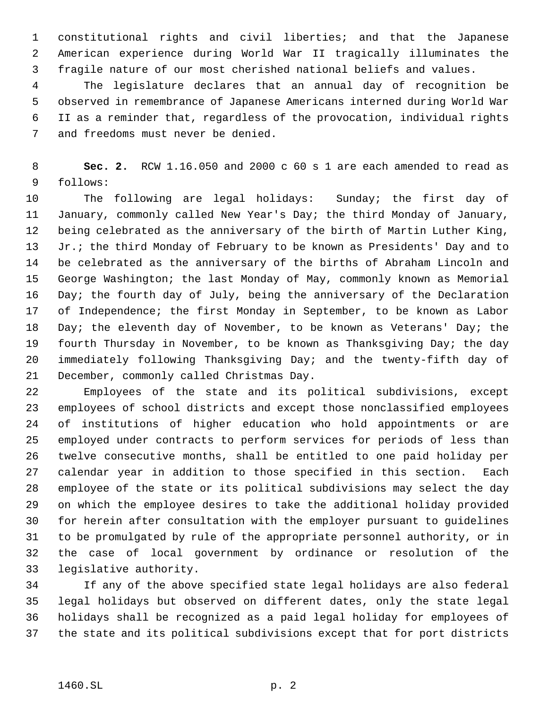constitutional rights and civil liberties; and that the Japanese American experience during World War II tragically illuminates the fragile nature of our most cherished national beliefs and values.

 The legislature declares that an annual day of recognition be observed in remembrance of Japanese Americans interned during World War II as a reminder that, regardless of the provocation, individual rights and freedoms must never be denied.

 **Sec. 2.** RCW 1.16.050 and 2000 c 60 s 1 are each amended to read as follows:

 The following are legal holidays: Sunday; the first day of January, commonly called New Year's Day; the third Monday of January, being celebrated as the anniversary of the birth of Martin Luther King, Jr.; the third Monday of February to be known as Presidents' Day and to be celebrated as the anniversary of the births of Abraham Lincoln and George Washington; the last Monday of May, commonly known as Memorial Day; the fourth day of July, being the anniversary of the Declaration of Independence; the first Monday in September, to be known as Labor 18 Day; the eleventh day of November, to be known as Veterans' Day; the fourth Thursday in November, to be known as Thanksgiving Day; the day immediately following Thanksgiving Day; and the twenty-fifth day of December, commonly called Christmas Day.

 Employees of the state and its political subdivisions, except employees of school districts and except those nonclassified employees of institutions of higher education who hold appointments or are employed under contracts to perform services for periods of less than twelve consecutive months, shall be entitled to one paid holiday per calendar year in addition to those specified in this section. Each employee of the state or its political subdivisions may select the day on which the employee desires to take the additional holiday provided for herein after consultation with the employer pursuant to guidelines to be promulgated by rule of the appropriate personnel authority, or in the case of local government by ordinance or resolution of the legislative authority.

 If any of the above specified state legal holidays are also federal legal holidays but observed on different dates, only the state legal holidays shall be recognized as a paid legal holiday for employees of the state and its political subdivisions except that for port districts